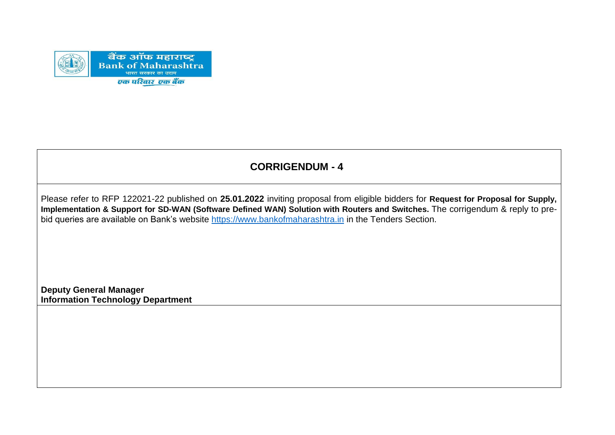

# **CORRIGENDUM - 4**

Please refer to RFP 122021-22 published on **25.01.2022** inviting proposal from eligible bidders for **Request for Proposal for Supply, Implementation & Support for SD-WAN (Software Defined WAN) Solution with Routers and Switches.** The corrigendum & reply to prebid queries are available on Bank's website [https://www.bankofmaharashtra.in](https://www.bankofmaharashtra.in/) in the Tenders Section.

**Deputy General Manager Information Technology Department**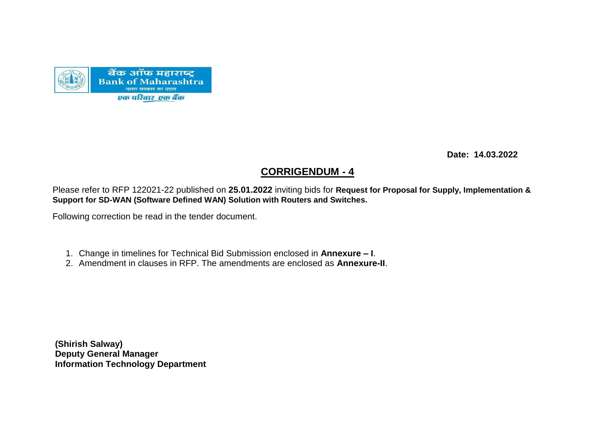

 **Date: 14.03.2022**

#### **CORRIGENDUM - 4**

Please refer to RFP 122021-22 published on **25.01.2022** inviting bids for **Request for Proposal for Supply, Implementation & Support for SD-WAN (Software Defined WAN) Solution with Routers and Switches.**

Following correction be read in the tender document.

- 1. Change in timelines for Technical Bid Submission enclosed in **Annexure – I**.
- 2. Amendment in clauses in RFP. The amendments are enclosed as **Annexure-II**.

**(Shirish Salway) Deputy General Manager Information Technology Department**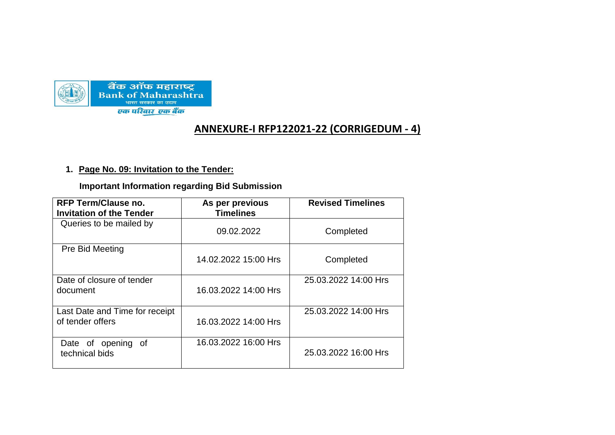

## **ANNEXURE-I RFP122021-22 (CORRIGEDUM - 4)**

#### **1. Page No. 09: Invitation to the Tender:**

 **Important Information regarding Bid Submission**

| <b>RFP Term/Clause no.</b><br><b>Invitation of the Tender</b> | As per previous<br><b>Timelines</b> | <b>Revised Timelines</b> |
|---------------------------------------------------------------|-------------------------------------|--------------------------|
| Queries to be mailed by                                       | 09.02.2022                          | Completed                |
| Pre Bid Meeting                                               | 14.02.2022 15:00 Hrs                | Completed                |
| Date of closure of tender<br>document                         | 16.03.2022 14:00 Hrs                | 25.03.2022 14:00 Hrs     |
| Last Date and Time for receipt<br>of tender offers            | 16.03.2022 14:00 Hrs                | 25.03.2022 14:00 Hrs     |
| Date of opening of<br>technical bids                          | 16.03.2022 16:00 Hrs                | 25.03.2022 16:00 Hrs     |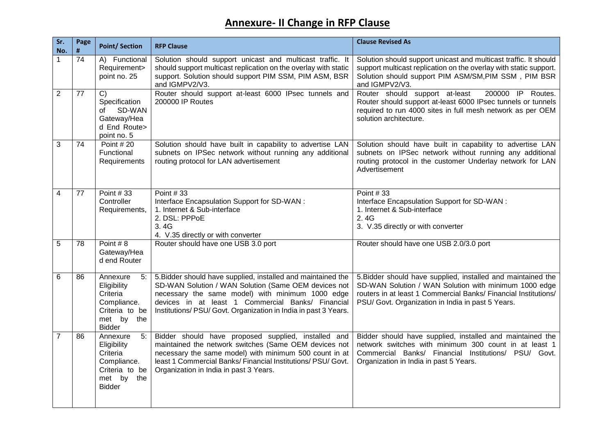## **Annexure- II Change in RFP Clause**

| Sr.<br>No.      | Page<br># | <b>Point/Section</b>                                                                                         | <b>RFP Clause</b>                                                                                                                                                                                                                                                                                | <b>Clause Revised As</b>                                                                                                                                                                                                                      |
|-----------------|-----------|--------------------------------------------------------------------------------------------------------------|--------------------------------------------------------------------------------------------------------------------------------------------------------------------------------------------------------------------------------------------------------------------------------------------------|-----------------------------------------------------------------------------------------------------------------------------------------------------------------------------------------------------------------------------------------------|
| 1               | 74        | A) Functional<br>Requirement><br>point no. 25                                                                | Solution should support unicast and multicast traffic. It<br>should support multicast replication on the overlay with static<br>support. Solution should support PIM SSM, PIM ASM, BSR<br>and IGMPV2/V3.                                                                                         | Solution should support unicast and multicast traffic. It should<br>support multicast replication on the overlay with static support.<br>Solution should support PIM ASM/SM, PIM SSM, PIM BSR<br>and IGMPV2/V3.                               |
| 2               | 77        | $\overline{C}$<br>Specification<br>SD-WAN<br>of<br>Gateway/Hea<br>d End Route><br>point no. 5                | Router should support at-least 6000 IPsec tunnels and<br>200000 IP Routes                                                                                                                                                                                                                        | Router should support at-least<br>200000 IP Routes.<br>Router should support at-least 6000 IPsec tunnels or tunnels<br>required to run 4000 sites in full mesh network as per OEM<br>solution architecture.                                   |
| 3               | 74        | Point $#20$<br>Functional<br>Requirements                                                                    | Solution should have built in capability to advertise LAN<br>subnets on IPSec network without running any additional<br>routing protocol for LAN advertisement                                                                                                                                   | Solution should have built in capability to advertise LAN<br>subnets on IPSec network without running any additional<br>routing protocol in the customer Underlay network for LAN<br>Advertisement                                            |
| 4               | 77        | Point $#33$<br>Controller<br>Requirements,                                                                   | Point $#33$<br>Interface Encapsulation Support for SD-WAN :<br>1. Internet & Sub-interface<br>2. DSL: PPPoE<br>3.4G<br>4. V.35 directly or with converter                                                                                                                                        | Point #33<br>Interface Encapsulation Support for SD-WAN :<br>1. Internet & Sub-interface<br>2.4G<br>3. V.35 directly or with converter                                                                                                        |
| 5               | 78        | Point #8<br>Gateway/Hea<br>d end Router                                                                      | Router should have one USB 3.0 port                                                                                                                                                                                                                                                              | Router should have one USB 2.0/3.0 port                                                                                                                                                                                                       |
| $6\phantom{1}6$ | 86        | 5:<br>Annexure<br>Eligibility<br>Criteria<br>Compliance.<br>Criteria to be<br>the<br>met by<br><b>Bidder</b> | 5. Bidder should have supplied, installed and maintained the<br>SD-WAN Solution / WAN Solution (Same OEM devices not<br>necessary the same model) with minimum 1000 edge<br>devices in at least 1 Commercial Banks/ Financial<br>Institutions/ PSU/ Govt. Organization in India in past 3 Years. | 5. Bidder should have supplied, installed and maintained the<br>SD-WAN Solution / WAN Solution with minimum 1000 edge<br>routers in at least 1 Commercial Banks/ Financial Institutions/<br>PSU/ Govt. Organization in India in past 5 Years. |
| $\overline{7}$  | 86        | 5:<br>Annexure<br>Eligibility<br>Criteria<br>Compliance.<br>Criteria to be<br>the<br>met by<br><b>Bidder</b> | Bidder should have proposed supplied, installed and<br>maintained the network switches (Same OEM devices not<br>necessary the same model) with minimum 500 count in at<br>least 1 Commercial Banks/ Financial Institutions/ PSU/ Govt.<br>Organization in India in past 3 Years.                 | Bidder should have supplied, installed and maintained the<br>network switches with minimum 300 count in at least 1<br>Commercial Banks/ Financial Institutions/ PSU/ Govt.<br>Organization in India in past 5 Years.                          |